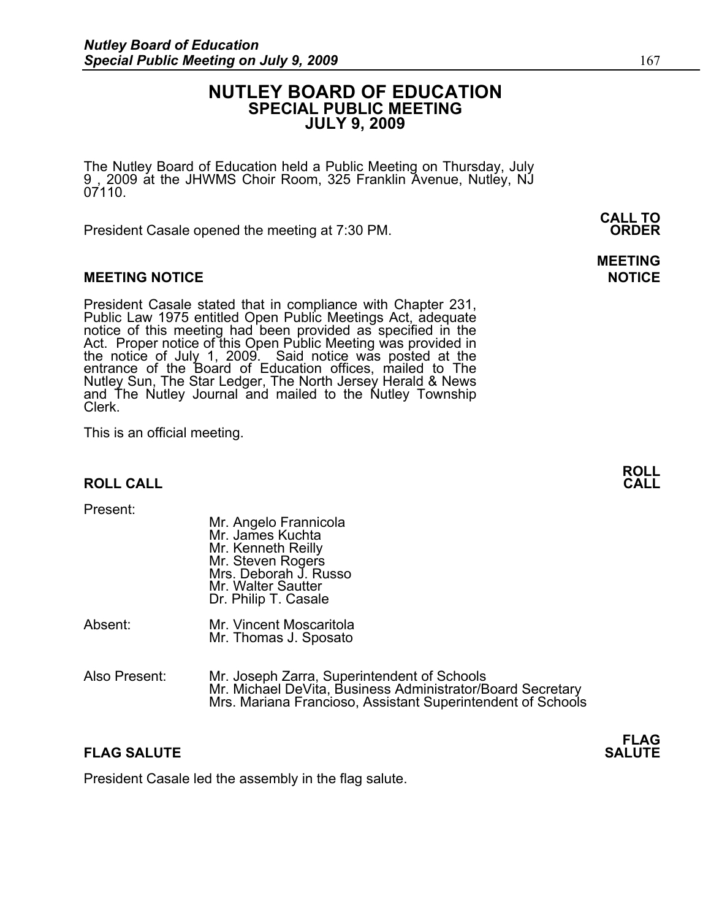# **NUTLEY BOARD OF EDUCATION SPECIAL PUBLIC MEETING JULY 9, 2009**

The Nutley Board of Education held a Public Meeting on Thursday, July 9 , 2009 at the JHWMS Choir Room, 325 Franklin Avenue, Nutley, NJ 07110.

 **CALL TO**  President Casale opened the meeting at 7:30 PM. **ORDER**

### **MEETING NOTICE NOTICE REPORTS AND ALCOHOL**

President Casale stated that in compliance with Chapter 231, Public Law 1975 entitled Open Public Meetings Act, adequate notice of this meeting had been provided as specified in the Act. Proper notice of this Open Public Meeting was provided in the notice of July 1, 2009. Said notice was posted at the entrance of the Board of Education offices, mailed to The Nutley Sun, The Star Ledger, The North Jersey Herald & News and The Nutley Journal and mailed to the Nutley Township Clerk.

This is an official meeting.

### **ROLL CALL**

Present:

| Mr. Angelo Frannicola |
|-----------------------|
| Mr. James Kuchta      |
| Mr. Kenneth Reilly    |
| Mr. Steven Rogers     |
| Mrs. Deborah J. Russo |
| Mr. Walter Sautter    |
| Dr. Philip T. Casale  |
|                       |

- Absent: Mr. Vincent Moscaritola Mr. Thomas J. Sposato
- Also Present: Mr. Joseph Zarra, Superintendent of Schools Mrs. Mariana Francioso, Assistant Superintendent of Schools

### **FLAG SALUTE** SALUTE SALUTE SALUTE SALUTE SALUTE SALUTE SALUTE SALUTE SALUTE SALUTE SALUTE SALUTE SALUTE SALUTE SALUTE SALUTE SALUTE SALUTE SALUTE SALUTE SALUTE SALUTE SALUTE SALUTE SALUTE SALUTE SALUTE SALUTE SALUTE SALUT

President Casale led the assembly in the flag salute.

**MEETING** 



# **FLAG**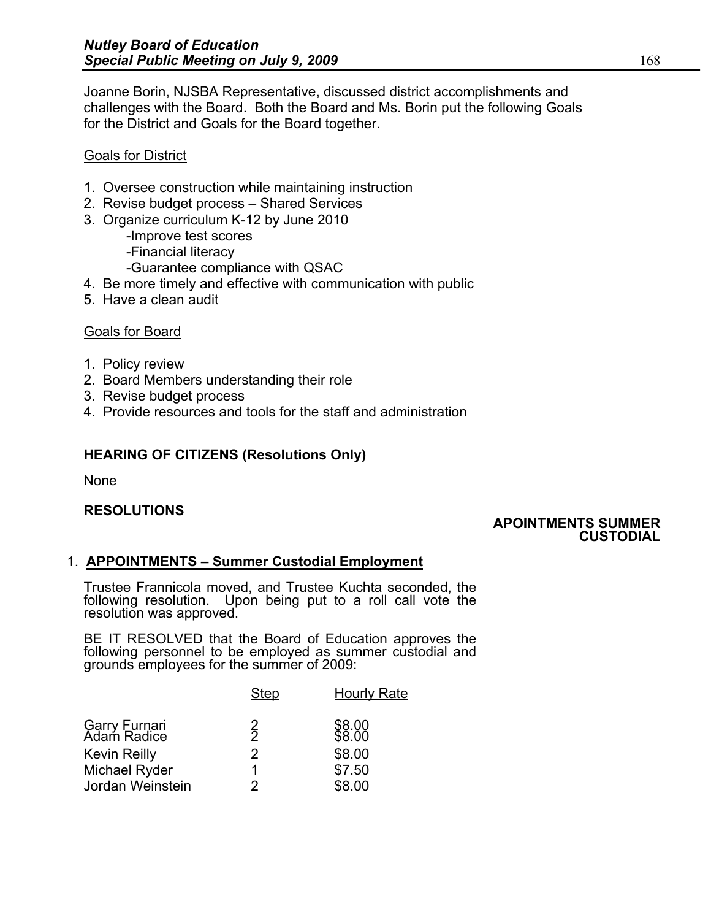Joanne Borin, NJSBA Representative, discussed district accomplishments and challenges with the Board. Both the Board and Ms. Borin put the following Goals for the District and Goals for the Board together.

### Goals for District

- 1. Oversee construction while maintaining instruction
- 2. Revise budget process Shared Services
- 3. Organize curriculum K-12 by June 2010
	- -Improve test scores
	- -Financial literacy
	- -Guarantee compliance with QSAC
- 4. Be more timely and effective with communication with public
- 5. Have a clean audit

# Goals for Board

- 1. Policy review
- 2. Board Members understanding their role
- 3. Revise budget process
- 4. Provide resources and tools for the staff and administration

# **HEARING OF CITIZENS (Resolutions Only)**

None

# **RESOLUTIONS**

### **APOINTMENTS SUMMER CUSTODIAL**

# 1. **APPOINTMENTS – Summer Custodial Employment**

Trustee Frannicola moved, and Trustee Kuchta seconded, the following resolution. Upon being put to a roll call vote the resolution was approved.

BE IT RESOLVED that the Board of Education approves the following personnel to be employed as summer custodial and grounds employees for the summer of 2009: Ì

|                              | <b>Step</b>   | <b>Hourly Rate</b> |
|------------------------------|---------------|--------------------|
| Garry Furnari<br>Adam Radice | $\frac{2}{2}$ | \$8.00<br>\$8.00   |
| <b>Kevin Reilly</b>          | $\mathcal{P}$ | \$8.00             |
| Michael Ryder                | 1.            | \$7.50             |
| Jordan Weinstein             | 2             | \$8.00             |